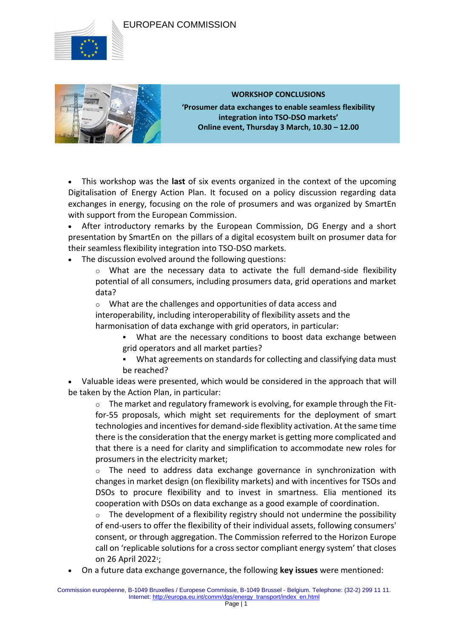## EUROPEAN COMMISSION





## **WORKSHOP CONCLUSIONS**

**'Prosumer data exchanges to enable seamless flexibility integration into TSO-DSO markets' Online event, Thursday 3 March, 10.30 – 12.00**

 This workshop was the **last** of six events organized in the context of the upcoming Digitalisation of Energy Action Plan. It focused on a policy discussion regarding data exchanges in energy, focusing on the role of prosumers and was organized by SmartEn with support from the European Commission.

 After introductory remarks by the European Commission, DG Energy and a short presentation by SmartEn on  the pillars of a digital ecosystem built on prosumer data for their seamless flexibility integration into TSO-DSO markets.

The discussion evolved around the following questions:

o What are the necessary data to activate the full demand-side flexibility potential of all consumers, including prosumers data, grid operations and market data?

o What are the challenges and opportunities of data access and

interoperability, including interoperability of flexibility assets and the harmonisation of data exchange with grid operators, in particular:

- What are the necessary conditions to boost data exchange between grid operators and all market parties?
- What agreements on standards for collecting and classifying data must be reached?

 Valuable ideas were presented, which would be considered in the approach that will be taken by the Action Plan, in particular:

 $\circ$  The market and regulatory framework is evolving, for example through the Fitfor-55 proposals, which might set requirements for the deployment of smart technologies and incentives for demand-side flexiblity activation. At the same time there is the consideration that the energy market is getting more complicated and that there is a need for clarity and simplification to accommodate new roles for prosumers in the electricity market;

o The need to address data exchange governance in synchronization with changes in market design (on flexibility markets) and with incentives for TSOs and DSOs to procure flexibility and to invest in smartness. Elia mentioned its cooperation with DSOs on data exchange as a good example of coordination.

 $\circ$  The development of a flexibility registry should not undermine the possibility of end-users to offer the flexibility of their individual assets, following consumers' consent, or through aggregation. The Commission referred to the Horizon Europe call on 'replicable solutions for a cross sector compliant energy system' that closes on 26 April 2022<sup>1</sup>;

On a future data exchange governance, the following **key issues** were mentioned: